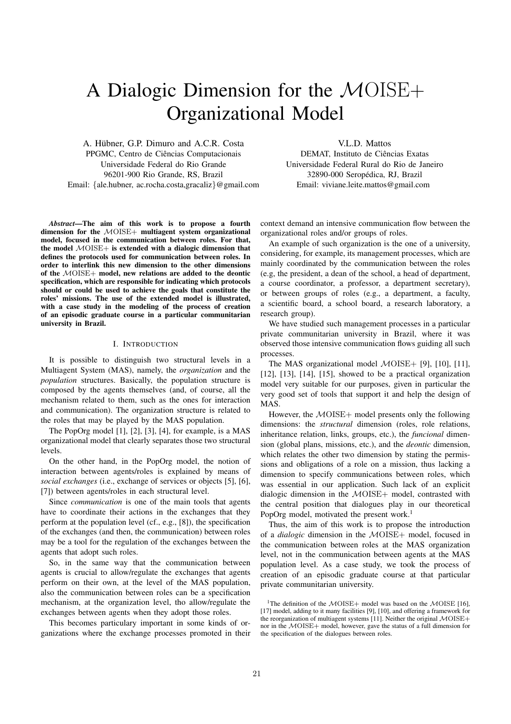# A Dialogic Dimension for the MOISE+ Organizational Model

A. Hübner, G.P. Dimuro and A.C.R. Costa PPGMC, Centro de Ciências Computacionais Universidade Federal do Rio Grande 96201-900 Rio Grande, RS, Brazil Email: {ale.hubner, ac.rocha.costa,gracaliz}@gmail.com

V.L.D. Mattos DEMAT, Instituto de Ciências Exatas Universidade Federal Rural do Rio de Janeiro 32890-000 Seropedica, RJ, Brazil ´ Email: viviane.leite.mattos@gmail.com

*Abstract*—The aim of this work is to propose a fourth dimension for the  $MOISE+$  multiagent system organizational model, focused in the communication between roles. For that, the model  $MOISE+$  is extended with a dialogic dimension that defines the protocols used for communication between roles. In order to interlink this new dimension to the other dimensions of the MOISE+ model, new relations are added to the deontic specification, which are responsible for indicating which protocols should or could be used to achieve the goals that constitute the roles' missions. The use of the extended model is illustrated, with a case study in the modeling of the process of creation of an episodic graduate course in a particular communitarian university in Brazil.

## I. INTRODUCTION

It is possible to distinguish two structural levels in a Multiagent System (MAS), namely, the *organization* and the *population* structures. Basically, the population structure is composed by the agents themselves (and, of course, all the mechanism related to them, such as the ones for interaction and communication). The organization structure is related to the roles that may be played by the MAS population.

The PopOrg model [1], [2], [3], [4], for example, is a MAS organizational model that clearly separates those two structural levels.

On the other hand, in the PopOrg model, the notion of interaction between agents/roles is explained by means of *social exchanges* (i.e., exchange of services or objects [5], [6], [7]) between agents/roles in each structural level.

Since *communication* is one of the main tools that agents have to coordinate their actions in the exchanges that they perform at the population level (cf., e.g., [8]), the specification of the exchanges (and then, the communication) between roles may be a tool for the regulation of the exchanges between the agents that adopt such roles.

So, in the same way that the communication between agents is crucial to allow/regulate the exchanges that agents perform on their own, at the level of the MAS population, also the communication between roles can be a specification mechanism, at the organization level, tho allow/regulate the exchanges between agents when they adopt those roles.

This becomes particulary important in some kinds of organizations where the exchange processes promoted in their context demand an intensive communication flow between the organizational roles and/or groups of roles.

An example of such organization is the one of a university, considering, for example, its management processes, which are mainly coordinated by the communication between the roles (e.g, the president, a dean of the school, a head of department, a course coordinator, a professor, a department secretary), or between groups of roles (e.g., a department, a faculty, a scientific board, a school board, a research laboratory, a research group).

We have studied such management processes in a particular private communitarian university in Brazil, where it was observed those intensive communication flows guiding all such processes.

The MAS organizational model  $\mathcal{M}OISE+$  [9], [10], [11], [12], [13], [14], [15], showed to be a practical organization model very suitable for our purposes, given in particular the very good set of tools that support it and help the design of MAS.

However, the MOISE+ model presents only the following dimensions: the *structural* dimension (roles, role relations, inheritance relation, links, groups, etc.), the *funcional* dimension (global plans, missions, etc.), and the *deontic* dimension, which relates the other two dimension by stating the permissions and obligations of a role on a mission, thus lacking a dimension to specify communications between roles, which was essential in our application. Such lack of an explicit dialogic dimension in the MOISE+ model, contrasted with the central position that dialogues play in our theoretical PopOrg model, motivated the present work.<sup>1</sup>

Thus, the aim of this work is to propose the introduction of a *dialogic* dimension in the MOISE+ model, focused in the communication between roles at the MAS organization level, not in the communication between agents at the MAS population level. As a case study, we took the process of creation of an episodic graduate course at that particular private communitarian university.

<sup>&</sup>lt;sup>1</sup>The definition of the  $\mathcal{M}OISE+$  model was based on the  $\mathcal{M}OISE$  [16], [17] model, adding to it many facilities [9], [10], and offering a framework for the reorganization of multiagent systems [11]. Neither the original MOISE+ nor in the MOISE+ model, however, gave the status of a full dimension for the specification of the dialogues between roles.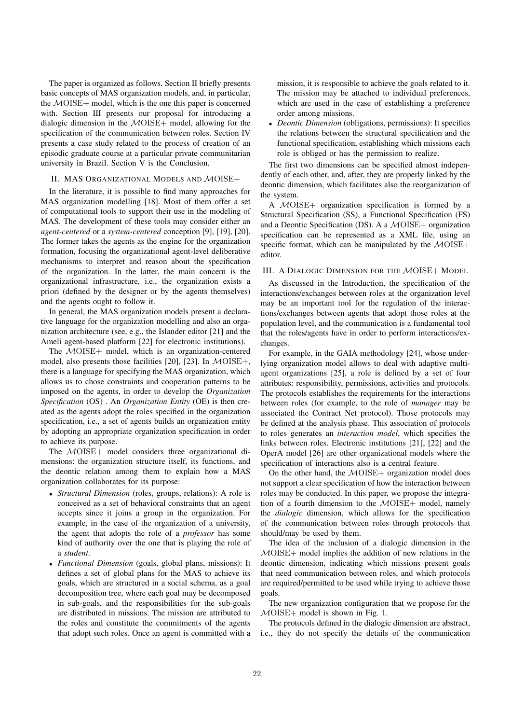The paper is organized as follows. Section II briefly presents basic concepts of MAS organization models, and, in particular, the MOISE+ model, which is the one this paper is concerned with. Section III presents our proposal for introducing a dialogic dimension in the  $MOISE+$  model, allowing for the specification of the communication between roles. Section IV presents a case study related to the process of creation of an episodic graduate course at a particular private communitarian university in Brazil. Section V is the Conclusion.

## II. MAS ORGANIZATIONAL MODELS AND MOISE+

In the literature, it is possible to find many approaches for MAS organization modelling [18]. Most of them offer a set of computational tools to support their use in the modeling of MAS. The development of these tools may consider either an *agent-centered* or a *system-centered* conception [9], [19], [20]. The former takes the agents as the engine for the organization formation, focusing the organizational agent-level deliberative mechanisms to interpret and reason about the specification of the organization. In the latter, the main concern is the organizational infrastructure, i.e., the organization exists a priori (defined by the designer or by the agents themselves) and the agents ought to follow it.

In general, the MAS organization models present a declarative language for the organization modelling and also an organization architecture (see, e.g., the Islander editor [21] and the Ameli agent-based platform [22] for electronic institutions).

The MOISE+ model, which is an organization-centered model, also presents those facilities [20], [23]. In  $\mathcal{M}OISE+,$ there is a language for specifying the MAS organization, which allows us to chose constraints and cooperation patterns to be imposed on the agents, in order to develop the *Organization Specification* (OS) . An *Organization Entity* (OE) is then created as the agents adopt the roles specified in the organization specification, i.e., a set of agents builds an organization entity by adopting an appropriate organization specification in order to achieve its purpose.

The  $MOISE+$  model considers three organizational dimensions: the organization structure itself, its functions, and the deontic relation among them to explain how a MAS organization collaborates for its purpose:

- *Structural Dimension* (roles, groups, relations): A role is conceived as a set of behavioral constraints that an agent accepts since it joins a group in the organization. For example, in the case of the organization of a university, the agent that adopts the role of a *professor* has some kind of authority over the one that is playing the role of a *student*.
- *Functional Dimension* (goals, global plans, missions): It defines a set of global plans for the MAS to achieve its goals, which are structured in a social schema, as a goal decomposition tree, where each goal may be decomposed in sub-goals, and the responsibilities for the sub-goals are distributed in missions. The mission are attributed to the roles and constitute the commitments of the agents that adopt such roles. Once an agent is committed with a

mission, it is responsible to achieve the goals related to it. The mission may be attached to individual preferences, which are used in the case of establishing a preference order among missions.

• *Deontic Dimension* (obligations, permissions): It specifies the relations between the structural specification and the functional specification, establishing which missions each role is obliged or has the permission to realize.

The first two dimensions can be specified almost independently of each other, and, after, they are properly linked by the deontic dimension, which facilitates also the reorganization of the system.

A MOISE+ organization specification is formed by a Structural Specification (SS), a Functional Specification (FS) and a Deontic Specification (DS). A a MOISE+ organization specification can be represented as a XML file, using an specific format, which can be manipulated by the  $\mathcal{MOISE+}$ editor.

## III. A DIALOGIC DIMENSION FOR THE MOISE+ MODEL

As discussed in the Introduction, the specification of the interactions/exchanges between roles at the organization level may be an important tool for the regulation of the interactions/exchanges between agents that adopt those roles at the population level, and the communication is a fundamental tool that the roles/agents have in order to perform interactions/exchanges.

For example, in the GAIA methodology [24], whose underlying organization model allows to deal with adaptive multiagent organizations [25], a role is defined by a set of four attributes: responsibility, permissions, activities and protocols. The protocols establishes the requirements for the interactions between roles (for example, to the role of *manager* may be associated the Contract Net protocol). Those protocols may be defined at the analysis phase. This association of protocols to roles generates an *interaction model*, which specifies the links between roles. Electronic institutions [21], [22] and the OperA model [26] are other organizational models where the specification of interactions also is a central feature.

On the other hand, the  $\mathcal{M}OISE+$  organization model does not support a clear specification of how the interaction between roles may be conducted. In this paper, we propose the integration of a fourth dimension to the MOISE+ model, namely the *dialogic* dimension, which allows for the specification of the communication between roles through protocols that should/may be used by them.

The idea of the inclusion of a dialogic dimension in the MOISE+ model implies the addition of new relations in the deontic dimension, indicating which missions present goals that need communication between roles, and which protocols are required/permitted to be used while trying to achieve those goals.

The new organization configuration that we propose for the  $MOISE+$  model is shown in Fig. 1.

The protocols defined in the dialogic dimension are abstract, i.e., they do not specify the details of the communication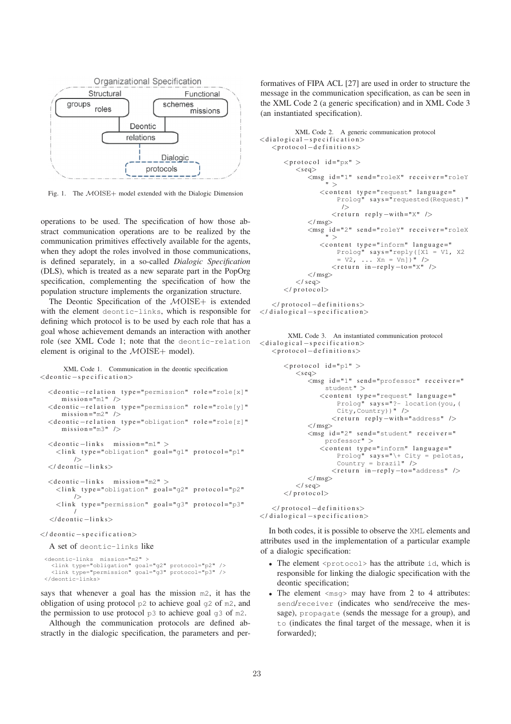

Fig. 1. The MOISE+ model extended with the Dialogic Dimension

operations to be used. The specification of how those abstract communication operations are to be realized by the communication primitives effectively available for the agents, when they adopt the roles involved in those communications, is defined separately, in a so-called *Dialogic Specification* (DLS), which is treated as a new separate part in the PopOrg specification, complementing the specification of how the population structure implements the organization structure.

The Deontic Specification of the MOISE+ is extended with the element deontic-links, which is responsible for defining which protocol is to be used by each role that has a goal whose achievement demands an interaction with another role (see XML Code 1; note that the deontic-relation element is original to the  $\mathcal{M}OISE+$  model).

XML Code 1. Communication in the deontic specification  $\langle$  de ontic  $-s$  pecification $>$ 

```
<deontic-relation type="permission" role="role[x]"
   m is sion ="m1" />
<deontic-relation type="permission" role="role[y]"
   m is sion ="m2" />
<deontic-relation type="obligation" role="role[z]"
   m is sion = "m3" />
<deontic -links mission="m1" >
  <link type="obligation" goal="g1" protocol="p1"
      />
\langle/ deontic −links>
<deontic −links mission="m2" >
  <link type="obligation" goal="g2" protocol="p2"
       /<link type="permission" goal="g3" protocol="p3"
       /
</ d e o n t i c −l i n k s>
```
 $\langle$  deontic – specification>

A set of deontic-links like

```
<deontic-links mission="m2" >
<link type="obligation" goal="g2" protocol="p2" />
<link type="permission" goal="g3" protocol="p3" />
</deontic-links>
```
says that whenever a goal has the mission m2, it has the obligation of using protocol  $p2$  to achieve goal  $q2$  of m2, and the permission to use protocol  $p3$  to achieve goal  $q3$  of m2.

Although the communication protocols are defined abstractly in the dialogic specification, the parameters and performatives of FIPA ACL [27] are used in order to structure the message in the communication specification, as can be seen in the XML Code 2 (a generic specification) and in XML Code 3 (an instantiated specification).

```
XML Code 2. A generic communication protocol
\langledialogical –specification>
   <protocol -d e finitions>
       <protocol id="px" >
           <seq>\bar{z}msg id="1" send="roleX" receiver="roleY
                     " >
                   <content type="request" language="
                         Prolog" says="requested(Request)"
                          \sqrt{ }<return reply -with="X" />
               \langle/msg\rangle\langle msg \]id="2" send="roleY" receiver="roleX
                     " >
                   \langlecontent type="inform" language="
                         Prolog" says="reply([X1 = V1, X2<br>= V2, ... Xn = Vn])" />
                       <return in-reply-to="X" />
               \langle/msg\rangle\langle/ seq>\langle protocol\rangle\langle protocol -d efinitions>
```
 $\langle$  dialogical –specification>

```
XML Code 3. An instantiated communication protocol
\langledialogical –specification>
    <p r o t o c o l −d e f i n i t i o n s>
```

```
<protocol id="p1" >
   <seg>\zetamsg id="1" send="professor" receiver="
            student" >
          \langle content type="request" language="
               Prolog" says = 2 - location(you, (City, Country))" />
              <r e t u r n r e p l y −wi th ="address" />
       \langle/msg\rangle\frac{m}{2} id="2" send="student" receiver="
           professor" >
          <content type="inform" language="
               Prolog" says="\+ City = pelotas,
               Country = brazil" />
              <return in-reply-to="address" />
       \langle/msg>
   \langle seq>\langle protocol>
```
 $\langle$ /protocol – definitions>  $\langle$  dialogical –specification>

In both codes, it is possible to observe the XML elements and attributes used in the implementation of a particular example of a dialogic specification:

- The element <protocol> has the attribute id, which is responsible for linking the dialogic specification with the deontic specification;
- The element  $\langle \text{msg} \rangle$  may have from 2 to 4 attributes: send/receiver (indicates who send/receive the message), propagate (sends the message for a group), and to (indicates the final target of the message, when it is forwarded);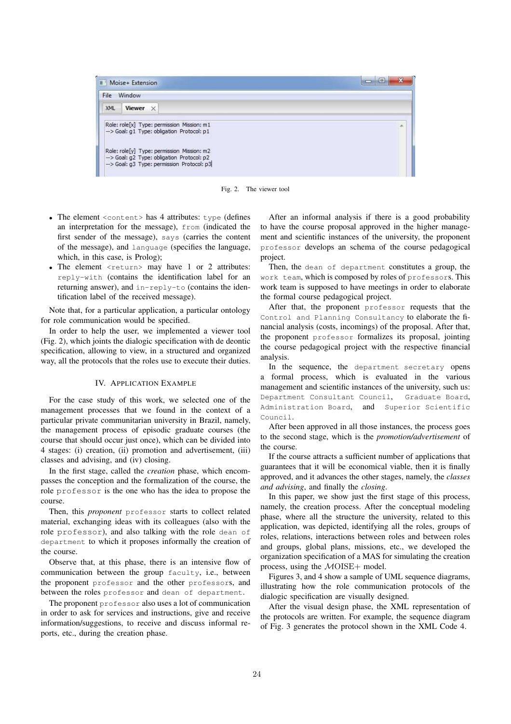| File<br>Window |                                                                                           |  |
|----------------|-------------------------------------------------------------------------------------------|--|
| <b>XML</b>     | Viewer X                                                                                  |  |
|                | Role: role[x] Type: permission Mission: m1<br>-- > Goal: g1 Type: obligation Protocol: p1 |  |
|                |                                                                                           |  |

Fig. 2. The viewer tool

- The element  $\langle$  content> has 4 attributes: type (defines an interpretation for the message), from (indicated the first sender of the message), says (carries the content of the message), and language (specifies the language, which, in this case, is Prolog);
- The element  $\langle$  return $\rangle$  may have 1 or 2 attributes: reply-with (contains the identification label for an returning answer), and in-reply-to (contains the identification label of the received message).

Note that, for a particular application, a particular ontology for role communication would be specified.

In order to help the user, we implemented a viewer tool (Fig. 2), which joints the dialogic specification with de deontic specification, allowing to view, in a structured and organized way, all the protocols that the roles use to execute their duties.

## IV. APPLICATION EXAMPLE

For the case study of this work, we selected one of the management processes that we found in the context of a particular private communitarian university in Brazil, namely, the management process of episodic graduate courses (the course that should occur just once), which can be divided into 4 stages: (i) creation, (ii) promotion and advertisement, (iii) classes and advising, and (iv) closing.

In the first stage, called the *creation* phase, which encompasses the conception and the formalization of the course, the role professor is the one who has the idea to propose the course.

Then, this *proponent* professor starts to collect related material, exchanging ideas with its colleagues (also with the role professor), and also talking with the role dean of department to which it proposes informally the creation of the course.

Observe that, at this phase, there is an intensive flow of communication between the group faculty, i.e., between the proponent professor and the other professors, and between the roles professor and dean of department.

The proponent professor also uses a lot of communication in order to ask for services and instructions, give and receive information/suggestions, to receive and discuss informal reports, etc., during the creation phase.

After an informal analysis if there is a good probability to have the course proposal approved in the higher management and scientific instances of the university, the proponent professor develops an schema of the course pedagogical project.

Then, the dean of department constitutes a group, the work team, which is composed by roles of professors. This work team is supposed to have meetings in order to elaborate the formal course pedagogical project.

After that, the proponent professor requests that the Control and Planning Consultancy to elaborate the financial analysis (costs, incomings) of the proposal. After that, the proponent professor formalizes its proposal, jointing the course pedagogical project with the respective financial analysis.

In the sequence, the department secretary opens a formal process, which is evaluated in the various management and scientific instances of the university, such us: Department Consultant Council, Graduate Board, Administration Board, and Superior Scientific Council.

After been approved in all those instances, the process goes to the second stage, which is the *promotion/advertisement* of the course.

If the course attracts a sufficient number of applications that guarantees that it will be economical viable, then it is finally approved, and it advances the other stages, namely, the *classes and advising*, and finally the *closing*.

In this paper, we show just the first stage of this process, namely, the creation process. After the conceptual modeling phase, where all the structure the university, related to this application, was depicted, identifying all the roles, groups of roles, relations, interactions between roles and between roles and groups, global plans, missions, etc., we developed the organization specification of a MAS for simulating the creation process, using the  $\mathcal{M}OISE+$  model.

Figures 3, and 4 show a sample of UML sequence diagrams, illustrating how the role communication protocols of the dialogic specification are visually designed.

After the visual design phase, the XML representation of the protocols are written. For example, the sequence diagram of Fig. 3 generates the protocol shown in the XML Code 4.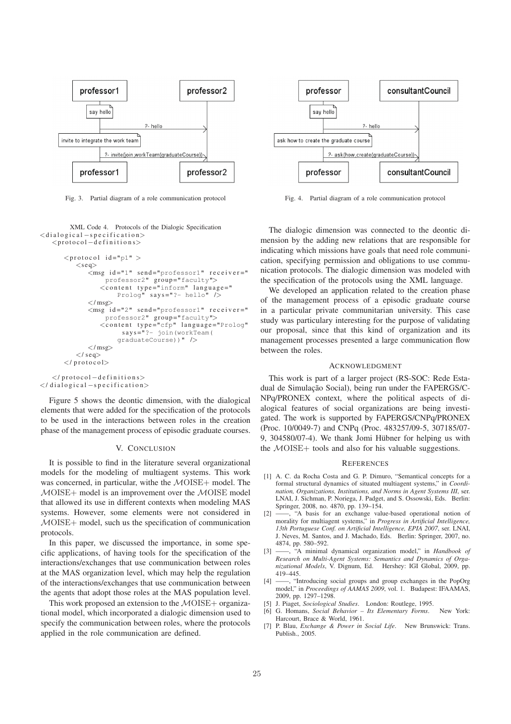

Fig. 3. Partial diagram of a role communication protocol

XML Code 4. Protocols of the Dialogic Specification  $\langle$ dialogical –specification> <p r o t o c o l −d e f i n i t i o n s>

```
<protocol id="p1" >
    <seg>\zetamsg id="1" send="professor1" receiver="
              professor2" group="faculty">
            \zeta content type="inform" language="
                  Prolog" says="?- hello" /\langle/msg\rangle\langle \text{msg} \rangleid="2" send="professor1" receiver="
              professor2" group="faculty">
            \frac{1}{2} states \frac{1}{2} states \frac{1}{2} anguage="Prolog"
                   says = "? - join(wordTextTeam()graduateCourse))" />
        \langle/msg\rangle\langle/ seq>\langle/\text{protocol}\rangle
```
 $\langle$  protocol  $-d$  efinitions>  $\langle$ / dialogical -specification>

Figure 5 shows the deontic dimension, with the dialogical elements that were added for the specification of the protocols to be used in the interactions between roles in the creation phase of the management process of episodic graduate courses.

#### V. CONCLUSION

It is possible to find in the literature several organizational models for the modeling of multiagent systems. This work was concerned, in particular, withe the  $\mathcal{MOISE+}$  model. The MOISE+ model is an improvement over the MOISE model that allowed its use in different contexts when modeling MAS systems. However, some elements were not considered in MOISE+ model, such us the specification of communication protocols.

In this paper, we discussed the importance, in some specific applications, of having tools for the specification of the interactions/exchanges that use communication between roles at the MAS organization level, which may help the regulation of the interactions/exchanges that use communication between the agents that adopt those roles at the MAS population level.

This work proposed an extension to the  $\mathcal{M}OISE+$  organizational model, which incorporated a dialogic dimension used to specify the communication between roles, where the protocols applied in the role communication are defined.



Fig. 4. Partial diagram of a role communication protocol

The dialogic dimension was connected to the deontic dimension by the adding new relations that are responsible for indicating which missions have goals that need role communication, specifying permission and obligations to use communication protocols. The dialogic dimension was modeled with the specification of the protocols using the XML language.

We developed an application related to the creation phase of the management process of a episodic graduate course in a particular private communitarian university. This case study was particulary interesting for the purpose of validating our proposal, since that this kind of organization and its management processes presented a large communication flow between the roles.

### ACKNOWLEDGMENT

This work is part of a larger project (RS-SOC: Rede Estadual de Simulação Social), being run under the FAPERGS/C-NPq/PRONEX context, where the political aspects of dialogical features of social organizations are being investigated. The work is supported by FAPERGS/CNPq/PRONEX (Proc. 10/0049-7) and CNPq (Proc. 483257/09-5, 307185/07- 9,  $304580/07-4$ ). We thank Jomi Hübner for helping us with the  $MOISE+$  tools and also for his valuable suggestions.

#### **REFERENCES**

- [1] A. C. da Rocha Costa and G. P. Dimuro, "Semantical concepts for a formal structural dynamics of situated multiagent systems," in *Coordination, Organizations, Institutions, and Norms in Agent Systems III*, ser. LNAI, J. Sichman, P. Noriega, J. Padget, and S. Ossowski, Eds. Berlin: Springer, 2008, no. 4870, pp. 139–154.
- [2] ——, "A basis for an exchange value-based operational notion of morality for multiagent systems," in *Progress in Artificial Intelligence, 13th Portuguese Conf. on Artificial Intelligence, EPIA 2007*, ser. LNAI, J. Neves, M. Santos, and J. Machado, Eds. Berlin: Springer, 2007, no. 4874, pp. 580–592.
- [3] ——, "A minimal dynamical organization model," in *Handbook of Research on Multi-Agent Systems: Semantics and Dynamics of Organizational Models*, V. Dignum, Ed. Hershey: IGI Global, 2009, pp. 419–445.
- [4] ——, "Introducing social groups and group exchanges in the PopOrg model," in *Proceedings of AAMAS 2009*, vol. 1. Budapest: IFAAMAS, 2009, pp. 1297–1298.
- [5] J. Piaget, *Sociological Studies*. London: Routlege, 1995.
- [6] G. Homans, *Social Behavior Its Elementary Forms*. New York: Harcourt, Brace & World, 1961.
- [7] P. Blau, *Exchange & Power in Social Life*. New Brunswick: Trans. Publish., 2005.